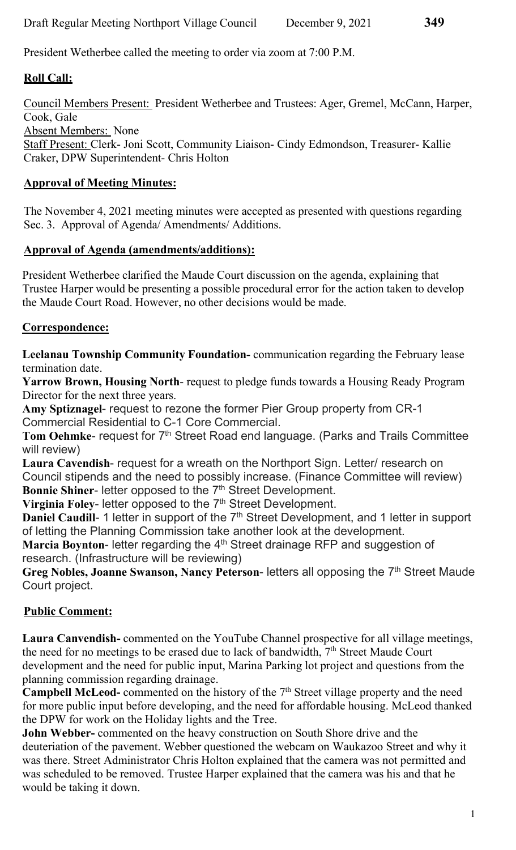President Wetherbee called the meeting to order via zoom at 7:00 P.M.

# Roll Call:

Council Members Present: President Wetherbee and Trustees: Ager, Gremel, McCann, Harper, Cook, Gale Absent Members: None Staff Present: Clerk- Joni Scott, Community Liaison- Cindy Edmondson, Treasurer- Kallie Craker, DPW Superintendent- Chris Holton

# Approval of Meeting Minutes:

The November 4, 2021 meeting minutes were accepted as presented with questions regarding Sec. 3. Approval of Agenda/ Amendments/ Additions.

## Approval of Agenda (amendments/additions):

President Wetherbee clarified the Maude Court discussion on the agenda, explaining that Trustee Harper would be presenting a possible procedural error for the action taken to develop the Maude Court Road. However, no other decisions would be made.

# Correspondence:

Leelanau Township Community Foundation- communication regarding the February lease termination date.

Yarrow Brown, Housing North- request to pledge funds towards a Housing Ready Program Director for the next three years.

Amy Sptiznagel- request to rezone the former Pier Group property from CR-1 Commercial Residential to C-1 Core Commercial.

Tom Oehmke- request for 7<sup>th</sup> Street Road end language. (Parks and Trails Committee will review)

Laura Cavendish- request for a wreath on the Northport Sign. Letter/ research on Council stipends and the need to possibly increase. (Finance Committee will review) Bonnie Shiner- letter opposed to the 7<sup>th</sup> Street Development.

Virginia Foley- letter opposed to the 7<sup>th</sup> Street Development.

Daniel Caudill- 1 letter in support of the 7<sup>th</sup> Street Development, and 1 letter in support of letting the Planning Commission take another look at the development.

Marcia Boynton- letter regarding the 4<sup>th</sup> Street drainage RFP and suggestion of research. (Infrastructure will be reviewing)

Greg Nobles, Joanne Swanson, Nancy Peterson- letters all opposing the  $7<sup>th</sup>$  Street Maude Court project.

# Public Comment:

Laura Canvendish- commented on the YouTube Channel prospective for all village meetings, the need for no meetings to be erased due to lack of bandwidth, 7<sup>th</sup> Street Maude Court development and the need for public input, Marina Parking lot project and questions from the planning commission regarding drainage.

Campbell McLeod- commented on the history of the 7<sup>th</sup> Street village property and the need for more public input before developing, and the need for affordable housing. McLeod thanked the DPW for work on the Holiday lights and the Tree.

John Webber- commented on the heavy construction on South Shore drive and the deuteriation of the pavement. Webber questioned the webcam on Waukazoo Street and why it was there. Street Administrator Chris Holton explained that the camera was not permitted and was scheduled to be removed. Trustee Harper explained that the camera was his and that he would be taking it down.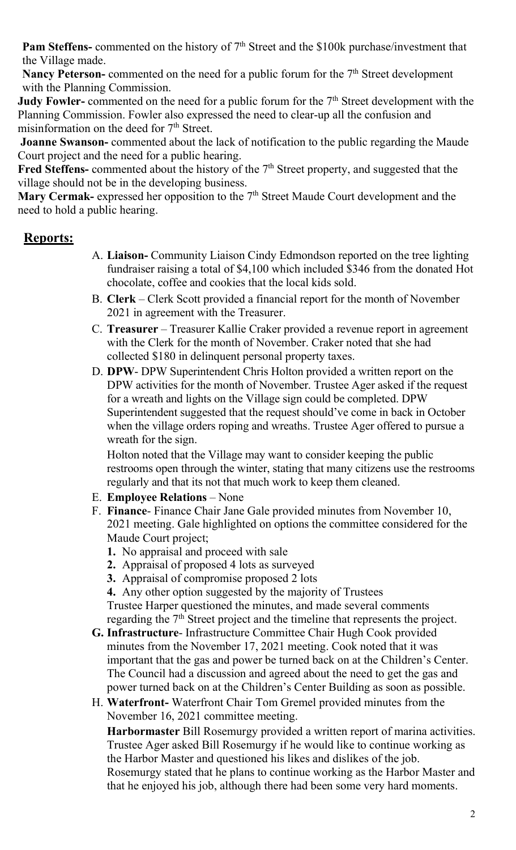**Pam Steffens-** commented on the history of  $7<sup>th</sup>$  Street and the \$100k purchase/investment that the Village made.

**Nancy Peterson-** commented on the need for a public forum for the  $7<sup>th</sup>$  Street development with the Planning Commission.

**Judy Fowler-** commented on the need for a public forum for the  $7<sup>th</sup>$  Street development with the Planning Commission. Fowler also expressed the need to clear-up all the confusion and misinformation on the deed for 7<sup>th</sup> Street.

 Joanne Swanson- commented about the lack of notification to the public regarding the Maude Court project and the need for a public hearing.

Fred Steffens- commented about the history of the  $7<sup>th</sup>$  Street property, and suggested that the village should not be in the developing business.

Mary Cermak- expressed her opposition to the 7<sup>th</sup> Street Maude Court development and the need to hold a public hearing.

# Reports:

- A. Liaison- Community Liaison Cindy Edmondson reported on the tree lighting fundraiser raising a total of \$4,100 which included \$346 from the donated Hot chocolate, coffee and cookies that the local kids sold.
- B. Clerk Clerk Scott provided a financial report for the month of November 2021 in agreement with the Treasurer.
- C. Treasurer Treasurer Kallie Craker provided a revenue report in agreement with the Clerk for the month of November. Craker noted that she had collected \$180 in delinquent personal property taxes.
- D. DPW- DPW Superintendent Chris Holton provided a written report on the DPW activities for the month of November. Trustee Ager asked if the request for a wreath and lights on the Village sign could be completed. DPW Superintendent suggested that the request should've come in back in October when the village orders roping and wreaths. Trustee Ager offered to pursue a wreath for the sign.

Holton noted that the Village may want to consider keeping the public restrooms open through the winter, stating that many citizens use the restrooms regularly and that its not that much work to keep them cleaned.

- E. Employee Relations None
- F. Finance- Finance Chair Jane Gale provided minutes from November 10, 2021 meeting. Gale highlighted on options the committee considered for the Maude Court project;
	- 1. No appraisal and proceed with sale
	- 2. Appraisal of proposed 4 lots as surveyed
	- 3. Appraisal of compromise proposed 2 lots
	- 4. Any other option suggested by the majority of Trustees

Trustee Harper questioned the minutes, and made several comments regarding the  $7<sup>th</sup>$  Street project and the timeline that represents the project.

- G. Infrastructure- Infrastructure Committee Chair Hugh Cook provided minutes from the November 17, 2021 meeting. Cook noted that it was important that the gas and power be turned back on at the Children's Center. The Council had a discussion and agreed about the need to get the gas and power turned back on at the Children's Center Building as soon as possible.
- H. Waterfront- Waterfront Chair Tom Gremel provided minutes from the November 16, 2021 committee meeting.

Harbormaster Bill Rosemurgy provided a written report of marina activities. Trustee Ager asked Bill Rosemurgy if he would like to continue working as the Harbor Master and questioned his likes and dislikes of the job. Rosemurgy stated that he plans to continue working as the Harbor Master and that he enjoyed his job, although there had been some very hard moments.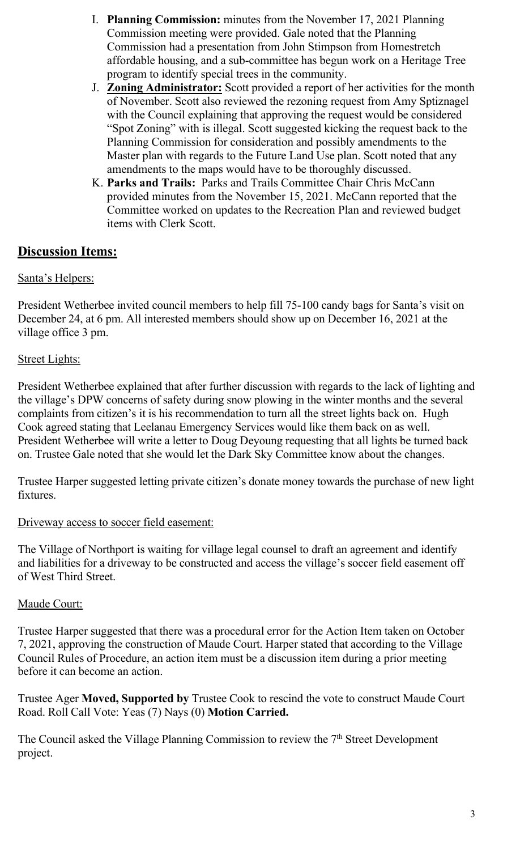- I. Planning Commission: minutes from the November 17, 2021 Planning Commission meeting were provided. Gale noted that the Planning Commission had a presentation from John Stimpson from Homestretch affordable housing, and a sub-committee has begun work on a Heritage Tree program to identify special trees in the community.
- J. Zoning Administrator: Scott provided a report of her activities for the month of November. Scott also reviewed the rezoning request from Amy Sptiznagel with the Council explaining that approving the request would be considered "Spot Zoning" with is illegal. Scott suggested kicking the request back to the Planning Commission for consideration and possibly amendments to the Master plan with regards to the Future Land Use plan. Scott noted that any amendments to the maps would have to be thoroughly discussed.
- K. Parks and Trails: Parks and Trails Committee Chair Chris McCann provided minutes from the November 15, 2021. McCann reported that the Committee worked on updates to the Recreation Plan and reviewed budget items with Clerk Scott.

# **Discussion Items:**

## Santa's Helpers:

President Wetherbee invited council members to help fill 75-100 candy bags for Santa's visit on December 24, at 6 pm. All interested members should show up on December 16, 2021 at the village office 3 pm.

## Street Lights:

President Wetherbee explained that after further discussion with regards to the lack of lighting and the village's DPW concerns of safety during snow plowing in the winter months and the several complaints from citizen's it is his recommendation to turn all the street lights back on. Hugh Cook agreed stating that Leelanau Emergency Services would like them back on as well. President Wetherbee will write a letter to Doug Deyoung requesting that all lights be turned back on. Trustee Gale noted that she would let the Dark Sky Committee know about the changes.

Trustee Harper suggested letting private citizen's donate money towards the purchase of new light fixtures.

#### Driveway access to soccer field easement:

The Village of Northport is waiting for village legal counsel to draft an agreement and identify and liabilities for a driveway to be constructed and access the village's soccer field easement off of West Third Street.

#### Maude Court:

Trustee Harper suggested that there was a procedural error for the Action Item taken on October 7, 2021, approving the construction of Maude Court. Harper stated that according to the Village Council Rules of Procedure, an action item must be a discussion item during a prior meeting before it can become an action.

Trustee Ager Moved, Supported by Trustee Cook to rescind the vote to construct Maude Court Road. Roll Call Vote: Yeas (7) Nays (0) Motion Carried.

The Council asked the Village Planning Commission to review the  $7<sup>th</sup>$  Street Development project.